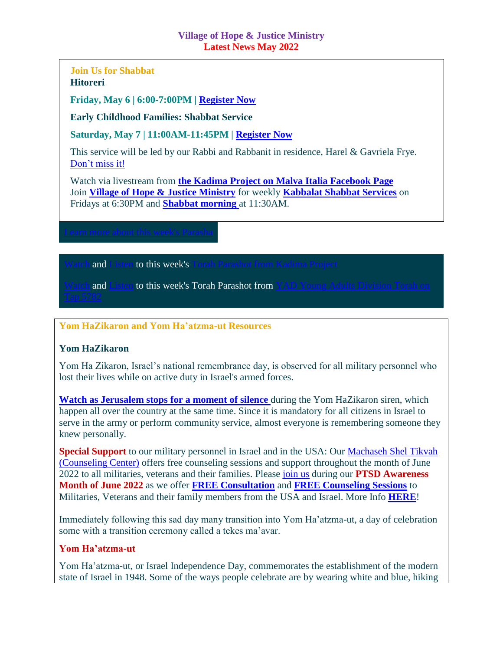#### **Village of Hope & Justice Ministry Latest News May 2022**

## **Join Us for Shabbat Hitoreri**

**Friday, May 6 | 6:00-7:00PM | [Register Now](mailto:contact@machasehsheltikvah.org)**

**Early Childhood Families: Shabbat Service**

**Saturday, May 7 | 11:00AM-11:45PM | [Register Now](mailto:contact@machasehsheltikvah.org)**

This service will be led by our Rabbi and Rabbanit in residence, Harel & Gavriela Frye. [Don't miss it!](mailto:contact@machasehsheltikvah.org)

Watch via livestream from **[the Kadima Project on Malva Italia Facebook Page](https://www.facebook.com/STARTUPIMMA/?show_switched_toast=1&show_invite_to_follow=0&show_switched_tooltip=0&show_podcast_settings=0&show_community_transition=0&show_community_review_changes=0)** Join **[Village of Hope & Justice Ministry](mailto:vohjm2013@gmail.com)** for weekly **[Kabbalat Shabbat Services](mailto:contact@machasehsheltikvah.org)** on Fridays at 6:30PM and **[Shabbat morning](mailto:contact@machasehsheltikvah.org)** at 11:30AM.

and [Listen](https://villageofhopejusticeministry.org/sermoni-sermons/) to this week's [Torah Parashot from Kadima Project](mailto:contact@machasehsheltikvah.org)ion

and [Listen](https://villageofhopejusticeministry.org/sermoni-sermons/) to this week's Torah Parashot from YAD Young Adults Division To

#### **Yom HaZikaron and Yom Ha'atzma-ut Resources**

### **Yom HaZikaron**

Yom Ha Zikaron, Israel's national remembrance day, is observed for all military personnel who lost their lives while on active duty in Israel's armed forces.

**[Watch as Jerusalem stops](https://www.youtube.com/watch?v=cBgh8xLiS-c) for a moment of silence** during the Yom HaZikaron siren, which happen all over the country at the same time. Since it is mandatory for all citizens in Israel to serve in the army or perform community service, almost everyone is remembering someone they knew personally.

**Special Support** to our military personnel in Israel and in the USA: Our Machaseh [Shel Tikvah](https://machasehsheltikvah.org/counsel.php)  [\(Counseling Center\)](https://machasehsheltikvah.org/counsel.php) offers free counseling sessions and support throughout the month of June 2022 to all militaries, veterans and their families. Please [join us](mailto:contact@machasehsheltikvah.org) during our **PTSD Awareness Month of June 2022** as we offer **[FREE Consultation](mailto:contact@machasehsheltikvah.org)** and **[FREE Counseling Sessions](mailto:contact@machasehsheltikvah.org)** to Militaries, Veterans and their family members from the USA and Israel. More Info **[HERE](https://villageofhopejusticeministry.files.wordpress.com/2022/04/meassage-from-the-rabbi-the-rabbanit.pdf)**!

Immediately following this sad day many transition into Yom Ha'atzma-ut, a day of celebration some with a transition ceremony called a tekes ma'avar.

### **Yom Ha'atzma-ut**

Yom Ha'atzma-ut, or Israel Independence Day, commemorates the establishment of the modern state of Israel in 1948. Some of the ways people celebrate are by wearing white and blue, hiking